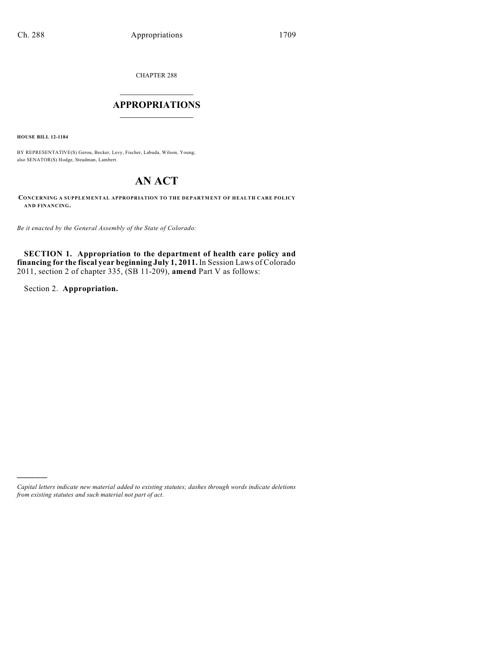CHAPTER 288

## $\overline{\phantom{a}}$  . The set of the set of the set of the set of the set of the set of the set of the set of the set of the set of the set of the set of the set of the set of the set of the set of the set of the set of the set o **APPROPRIATIONS**  $\_$   $\_$   $\_$   $\_$   $\_$   $\_$   $\_$   $\_$

**HOUSE BILL 12-1184**

BY REPRESENTATIVE(S) Gerou, Becker, Levy, Fischer, Labuda, Wilson, Young; also SENATOR(S) Hodge, Steadman, Lambert.

# **AN ACT**

**CONCERNING A SUPPLEMENTAL APPROPRIATION TO THE DEPARTMENT OF HEALTH CARE POLICY AND FINANCING.**

*Be it enacted by the General Assembly of the State of Colorado:*

**SECTION 1. Appropriation to the department of health care policy and financing for the fiscal year beginning July 1, 2011.** In Session Laws of Colorado 2011, section 2 of chapter 335, (SB 11-209), **amend** Part V as follows:

Section 2. **Appropriation.**

)))))

*Capital letters indicate new material added to existing statutes; dashes through words indicate deletions from existing statutes and such material not part of act.*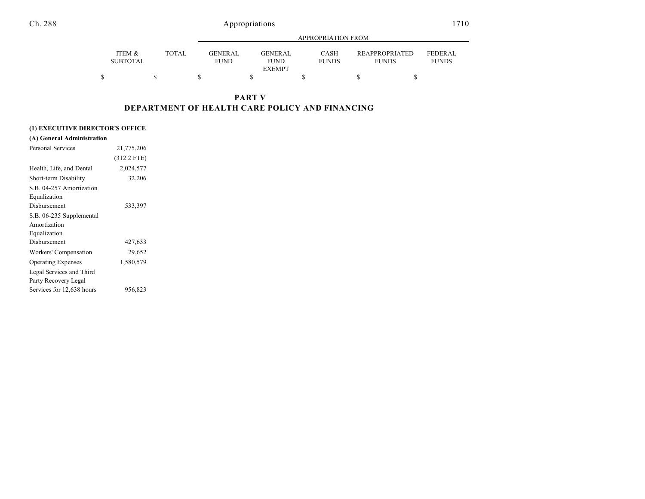|                           |       |                                | APPROPRIATION FROM                              |                      |                                       |                                |  |  |  |
|---------------------------|-------|--------------------------------|-------------------------------------------------|----------------------|---------------------------------------|--------------------------------|--|--|--|
| ITEM &<br><b>SUBTOTAL</b> | TOTAL | <b>GENER AL</b><br><b>FUND</b> | <b>GENER AL</b><br><b>FUND</b><br><b>EXEMPT</b> | CASH<br><b>FUNDS</b> | <b>REAPPROPRIATED</b><br><b>FUNDS</b> | <b>FEDERAL</b><br><b>FUNDS</b> |  |  |  |
| S                         |       |                                |                                                 |                      |                                       |                                |  |  |  |

### **PART V DEPARTMENT OF HEALTH CARE POLICY AND FINANCING**

### **(1) EXECUTIVE DIRECTOR'S OFFICE**

| (A) General Administration |               |  |
|----------------------------|---------------|--|
| <b>Personal Services</b>   | 21,775,206    |  |
|                            | $(312.2$ FTE) |  |
| Health, Life, and Dental   | 2,024,577     |  |
| Short-term Disability      | 32,206        |  |
| S.B. 04-257 Amortization   |               |  |
| Equalization               |               |  |
| Disbursement               | 533,397       |  |
| S.B. 06-235 Supplemental   |               |  |
| Amortization               |               |  |
| Equalization               |               |  |
| Disbursement               | 427,633       |  |
| Workers' Compensation      | 29,652        |  |
| <b>Operating Expenses</b>  | 1,580,579     |  |
| Legal Services and Third   |               |  |
| Party Recovery Legal       |               |  |
| Services for 12,638 hours  | 956,823       |  |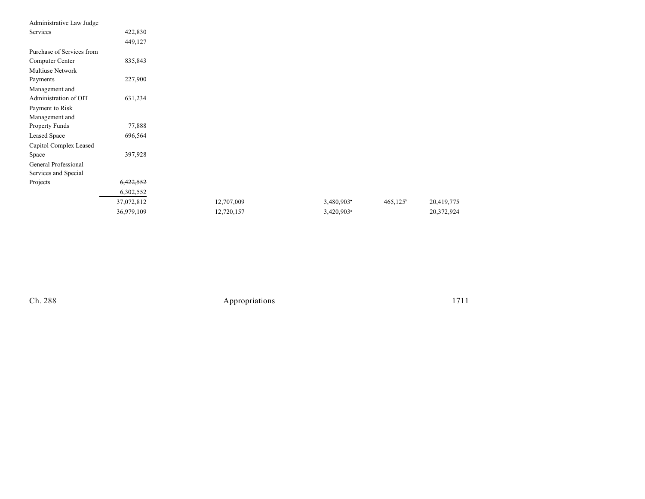| Administrative Law Judge  |            |            |                          |                   |            |
|---------------------------|------------|------------|--------------------------|-------------------|------------|
| Services                  | 422,830    |            |                          |                   |            |
|                           | 449,127    |            |                          |                   |            |
| Purchase of Services from |            |            |                          |                   |            |
| Computer Center           | 835,843    |            |                          |                   |            |
| <b>Multiuse Network</b>   |            |            |                          |                   |            |
| Payments                  | 227,900    |            |                          |                   |            |
| Management and            |            |            |                          |                   |            |
| Administration of OIT     | 631,234    |            |                          |                   |            |
| Payment to Risk           |            |            |                          |                   |            |
| Management and            |            |            |                          |                   |            |
| Property Funds            | 77,888     |            |                          |                   |            |
| Leased Space              | 696,564    |            |                          |                   |            |
| Capitol Complex Leased    |            |            |                          |                   |            |
| Space                     | 397,928    |            |                          |                   |            |
| General Professional      |            |            |                          |                   |            |
| Services and Special      |            |            |                          |                   |            |
| Projects                  | 6,422,552  |            |                          |                   |            |
|                           | 6,302,552  |            |                          |                   |            |
|                           | 37,072,812 | 12,707,009 | $3,480,903$ <sup>*</sup> | $465,125^{\circ}$ | 20,419,775 |
|                           | 36,979,109 | 12,720,157 | 3,420,903 <sup>a</sup>   |                   | 20,372,924 |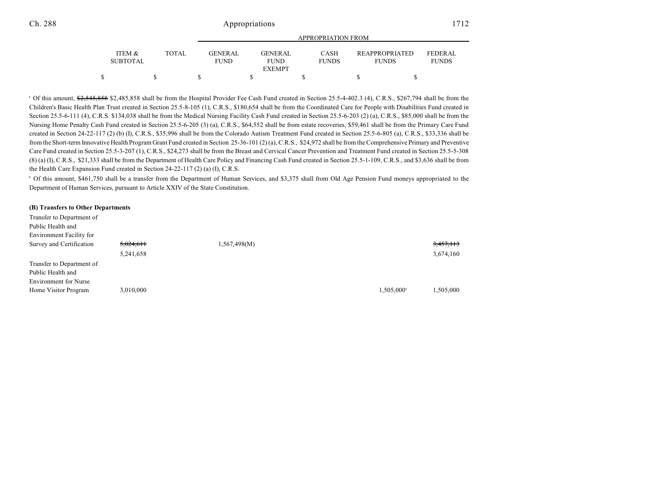|                                      |              | APPROPRIATION FROM            |  |                               |  |                             |  |                                       |                         |
|--------------------------------------|--------------|-------------------------------|--|-------------------------------|--|-----------------------------|--|---------------------------------------|-------------------------|
| <b>ITEM &amp;</b><br><b>SUBTOTAL</b> | <b>TOTAL</b> | <b>GENERAL</b><br><b>FUND</b> |  | <b>GENERAL</b><br><b>FUND</b> |  | <b>CASH</b><br><b>FUNDS</b> |  | <b>REAPPROPRIATED</b><br><b>FUNDS</b> | FEDERAL<br><b>FUNDS</b> |
|                                      |              |                               |  | <b>EXEMPT</b>                 |  |                             |  |                                       |                         |
|                                      |              |                               |  |                               |  |                             |  |                                       |                         |

<sup>a</sup> Of this amount, \$2,545,858 \$2,485,858 shall be from the Hospital Provider Fee Cash Fund created in Section 25.5-4-402.3 (4), C.R.S., \$267,794 shall be from the Children's Basic Health Plan Trust created in Section 25.5-8-105 (1), C.R.S., \$180,654 shall be from the Coordinated Care for People with Disabilities Fund created in Section 25.5-6-111 (4), C.R.S. \$134,038 shall be from the Medical Nursing Facility Cash Fund created in Section 25.5-6-203 (2) (a), C.R.S., \$85,000 shall be from the Nursing Home Penalty Cash Fund created in Section 25.5-6-205 (3) (a), C.R.S., \$64,552 shall be from estate recoveries, \$59,461 shall be from the Primary Care Fund created in Section 24-22-117 (2) (b) (I), C.R.S., \$35,996 shall be from the Colorado Autism Treatment Fund created in Section 25.5-6-805 (a), C.R.S., \$33,336 shall be from the Short-term Innovative Health Program Grant Fund created in Section 25-36-101 (2) (a), C.R.S., \$24,972 shall be from the Comprehensive Primary and Preventive Care Fund created in Section 25.5-3-207 (1), C.R.S., \$24,273 shall be from the Breast and Cervical Cancer Prevention and Treatment Fund created in Section 25.5-5-308 (8) (a) (I), C.R.S., \$21,333 shall be from the Department of Health Care Policy and Financing Cash Fund created in Section 25.5-1-109, C.R.S., and \$3,636 shall be from the Health Care Expansion Fund created in Section 24-22-117 (2) (a) (I), C.R.S.

<sup>b</sup> Of this amount, \$461,750 shall be a transfer from the Department of Human Services, and \$3,375 shall from Old Age Pension Fund moneys appropriated to the Department of Human Services, pursuant to Article XXIV of the State Constitution.

#### **(B) Transfers to Other Departments**

| Transfer to Department of    |           |              |                          |           |
|------------------------------|-----------|--------------|--------------------------|-----------|
| Public Health and            |           |              |                          |           |
| Environment Facility for     |           |              |                          |           |
| Survey and Certification     | 5,024,611 | 1,567,498(M) |                          | 3,457,113 |
|                              | 5,241,658 |              |                          | 3,674,160 |
| Transfer to Department of    |           |              |                          |           |
| Public Health and            |           |              |                          |           |
| <b>Environment</b> for Nurse |           |              |                          |           |
| Home Visitor Program         | 3,010,000 |              | $1,505,000$ <sup>a</sup> | 1,505,000 |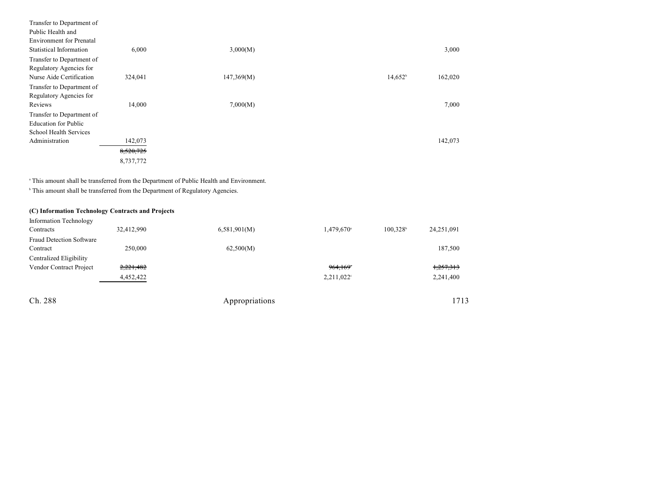| Transfer to Department of       |           |            |            |         |
|---------------------------------|-----------|------------|------------|---------|
| Public Health and               |           |            |            |         |
| <b>Environment</b> for Prenatal |           |            |            |         |
| Statistical Information         | 6,000     | 3,000(M)   |            | 3,000   |
| Transfer to Department of       |           |            |            |         |
| Regulatory Agencies for         |           |            |            |         |
| Nurse Aide Certification        | 324,041   | 147,369(M) | $14,652^b$ | 162,020 |
| Transfer to Department of       |           |            |            |         |
| Regulatory Agencies for         |           |            |            |         |
| Reviews                         | 14,000    | 7,000(M)   |            | 7,000   |
| Transfer to Department of       |           |            |            |         |
| <b>Education for Public</b>     |           |            |            |         |
| School Health Services          |           |            |            |         |
| Administration                  | 142,073   |            |            | 142,073 |
|                                 | 8,520,725 |            |            |         |
|                                 | 8,737,772 |            |            |         |

<sup>a</sup> This amount shall be transferred from the Department of Public Health and Environment.

 $^{\circ}$  This amount shall be transferred from the Department of Regulatory Agencies.

### **(C) Information Technology Contracts and Projects**

| <b>Information Technology</b>   |            |              |                          |                      |            |
|---------------------------------|------------|--------------|--------------------------|----------------------|------------|
| Contracts                       | 32,412,990 | 6,581,901(M) | $1,479,670$ <sup>a</sup> | 100.328 <sup>b</sup> | 24,251,091 |
| <b>Fraud Detection Software</b> |            |              |                          |                      |            |
| Contract                        | 250,000    | 62,500(M)    |                          |                      | 187,500    |
| Centralized Eligibility         |            |              |                          |                      |            |
| Vendor Contract Project         | 2,221,482  |              | 964,169°                 |                      | 1,257,313  |
|                                 | 4,452,422  |              | $2,211,022$ °            |                      | 2,241,400  |
|                                 |            |              |                          |                      |            |
|                                 |            |              |                          |                      |            |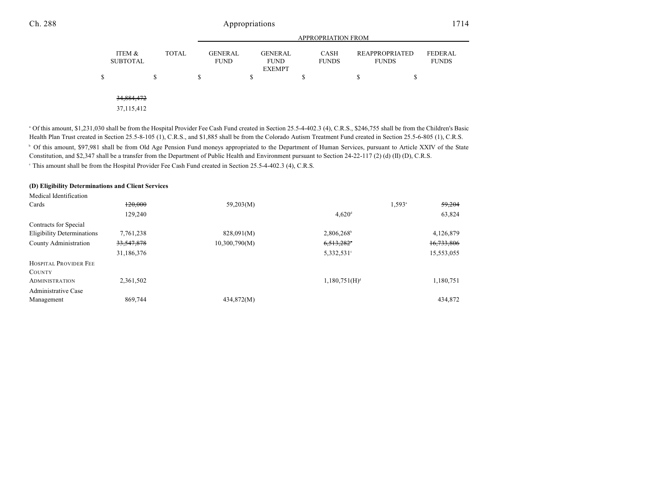|   |                           |   |              | <b>APPROPRIATION FROM</b>     |   |                                                |   |                             |                                       |    |                                |
|---|---------------------------|---|--------------|-------------------------------|---|------------------------------------------------|---|-----------------------------|---------------------------------------|----|--------------------------------|
|   | ITEM &<br><b>SUBTOTAL</b> |   | <b>TOTAL</b> | <b>GENERAL</b><br><b>FUND</b> |   | <b>GENERAL</b><br><b>FUND</b><br><b>EXEMPT</b> |   | <b>CASH</b><br><b>FUNDS</b> | <b>REAPPROPRIATED</b><br><b>FUNDS</b> |    | <b>FEDERAL</b><br><b>FUNDS</b> |
| S |                           | S |              | \$                            | S |                                                | S |                             | S                                     | \$ |                                |
|   | 34,884,472                |   |              |                               |   |                                                |   |                             |                                       |    |                                |
|   | 37, 115, 412              |   |              |                               |   |                                                |   |                             |                                       |    |                                |

<sup>a</sup> Of this amount, \$1,231,030 shall be from the Hospital Provider Fee Cash Fund created in Section 25.5-4-402.3 (4), C.R.S., \$246,755 shall be from the Children's Basic Health Plan Trust created in Section 25.5-8-105 (1), C.R.S., and \$1,885 shall be from the Colorado Autism Treatment Fund created in Section 25.5-6-805 (1), C.R.S. <sup>b</sup> Of this amount, \$97,981 shall be from Old Age Pension Fund moneys appropriated to the Department of Human Services, pursuant to Article XXIV of the State Constitution, and \$2,347 shall be a transfer from the Department of Public Health and Environment pursuant to Section 24-22-117 (2) (d) (II) (D), C.R.S. This amount shall be from the Hospital Provider Fee Cash Fund created in Section 25.5-4-402.3 (4), C.R.S. <sup>c</sup>

#### **(D) Eligibility Determinations and Client Services**

| Medical Identification            |            |               |                           |                                |
|-----------------------------------|------------|---------------|---------------------------|--------------------------------|
| Cards                             | 120,000    | 59,203(M)     |                           | 59,204<br>$1.593$ <sup>a</sup> |
|                                   | 129,240    |               | $4,620$ <sup>d</sup>      | 63,824                         |
| Contracts for Special             |            |               |                           |                                |
| <b>Eligibility Determinations</b> | 7,761,238  | 828,091(M)    | $2,806,268$ <sup>b</sup>  | 4,126,879                      |
| County Administration             | 33,547,878 | 10,300,790(M) | $6,513,282$ <sup>*</sup>  | 16,733,806                     |
|                                   | 31,186,376 |               | 5,332,531°                | 15,553,055                     |
| HOSPITAL PROVIDER FEE             |            |               |                           |                                |
| <b>COUNTY</b>                     |            |               |                           |                                |
| <b>ADMINISTRATION</b>             | 2,361,502  |               | 1,180,751(H) <sup>d</sup> | 1,180,751                      |
| Administrative Case               |            |               |                           |                                |
| Management                        | 869,744    | 434,872(M)    |                           | 434,872                        |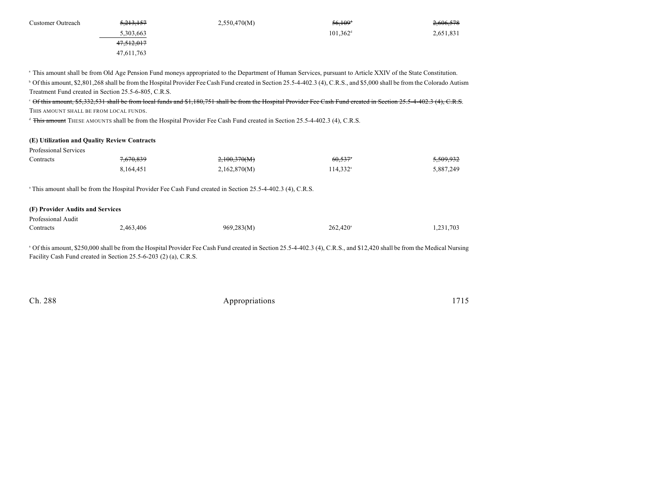| Customer Outreach | <del>5,213,157</del> | 2,550,470(M) | 56,109 <sup>+</sup>  | 2,606,578 |
|-------------------|----------------------|--------------|----------------------|-----------|
|                   | 5,303,663            |              | $101.362^{\text{d}}$ | 2,651,831 |
|                   | 47,512,017           |              |                      |           |
|                   | 47.611.763           |              |                      |           |

<sup>a</sup> This amount shall be from Old Age Pension Fund moneys appropriated to the Department of Human Services, pursuant to Article XXIV of the State Constitution. <sup>b</sup> Of this amount, \$2,801,268 shall be from the Hospital Provider Fee Cash Fund created in Section 25.5-4-402.3 (4), C.R.S., and \$5,000 shall be from the Colorado Autism Treatment Fund created in Section 25.5-6-805, C.R.S.

<sup>c</sup> Of this amount, \$5,332,531 shall be from local funds and \$1,180,751 shall be from the Hospital Provider Fee Cash Fund created in Section 25.5-4-402.3 (4), C.R.S. THIS AMOUNT SHALL BE FROM LOCAL FUNDS.

<sup>d</sup> This amount THESE AMOUNTS shall be from the Hospital Provider Fee Cash Fund created in Section 25.5-4-402.3 (4), C.R.S.

#### **(E) Utilization and Quality Review Contracts**

| Professional Services |                      |              |                        |                      |
|-----------------------|----------------------|--------------|------------------------|----------------------|
| Contracts             | <del>7,670,839</del> | 2,100,370(M) | 60,537*                | <del>5,509,932</del> |
|                       | 8.164.451            | 2,162,870(M) | $114,332$ <sup>a</sup> | 5,887,249            |

<sup>a</sup> This amount shall be from the Hospital Provider Fee Cash Fund created in Section 25.5-4-402.3 (4), C.R.S.

#### **(F) Provider Audits and Services**

| Professional Audit |           |            |                   |           |
|--------------------|-----------|------------|-------------------|-----------|
| Contracts          | 2,463,406 | 969,283(M) | $262.420^{\circ}$ | 1,231,703 |

<sup>a</sup> Of this amount, \$250,000 shall be from the Hospital Provider Fee Cash Fund created in Section 25.5-4-402.3 (4), C.R.S., and \$12,420 shall be from the Medical Nursing Facility Cash Fund created in Section 25.5-6-203 (2) (a), C.R.S.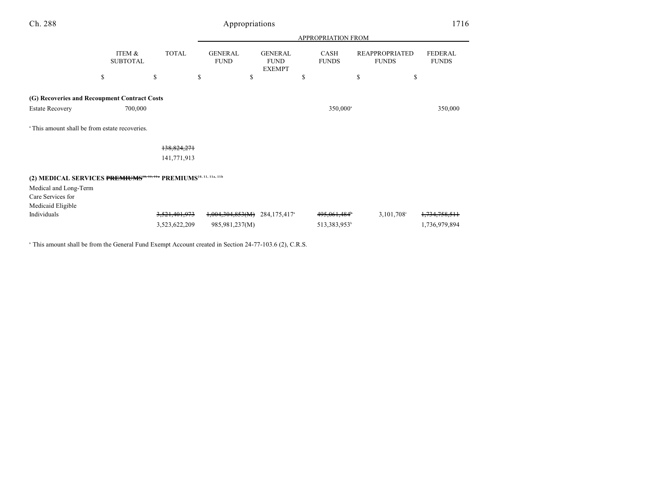| Ch. 288                                                                                                           |                           |                                | Appropriations                     |                                                |                                         |                                       | 1716                           |
|-------------------------------------------------------------------------------------------------------------------|---------------------------|--------------------------------|------------------------------------|------------------------------------------------|-----------------------------------------|---------------------------------------|--------------------------------|
|                                                                                                                   |                           |                                |                                    |                                                | APPROPRIATION FROM                      |                                       |                                |
|                                                                                                                   | ITEM &<br><b>SUBTOTAL</b> | <b>TOTAL</b>                   | <b>GENERAL</b><br><b>FUND</b>      | <b>GENERAL</b><br><b>FUND</b><br><b>EXEMPT</b> | CASH<br><b>FUNDS</b>                    | <b>REAPPROPRIATED</b><br><b>FUNDS</b> | <b>FEDERAL</b><br><b>FUNDS</b> |
|                                                                                                                   | \$                        | \$                             | \$<br>\$                           |                                                | \$<br>\$                                | \$                                    |                                |
| (G) Recoveries and Recoupment Contract Costs                                                                      |                           |                                |                                    |                                                |                                         |                                       |                                |
| <b>Estate Recovery</b>                                                                                            | 700,000                   |                                |                                    |                                                | 350,000 <sup>a</sup>                    |                                       | 350,000                        |
| <sup>a</sup> This amount shall be from estate recoveries.                                                         |                           |                                |                                    |                                                |                                         |                                       |                                |
|                                                                                                                   |                           | 138,824,271                    |                                    |                                                |                                         |                                       |                                |
|                                                                                                                   |                           | 141,771,913                    |                                    |                                                |                                         |                                       |                                |
| (2) MEDICAL SERVICES PREMIUMS <sup>18, 11, 11</sup> PREMIUMS <sup>10, 11, 11a, 11b</sup><br>Medical and Long-Term |                           |                                |                                    |                                                |                                         |                                       |                                |
| Care Services for<br>Medicaid Eligible                                                                            |                           |                                |                                    |                                                |                                         |                                       |                                |
| Individuals                                                                                                       |                           | 3,521,401,973<br>3,523,622,209 | 1,004,304,853(M)<br>985,981,237(M) | 284,175,417 <sup>a</sup>                       | 495,061,484<br>513,383,953 <sup>b</sup> | $3,101,708$ <sup>c</sup>              | 1,734,758,511<br>1,736,979,894 |

<sup>a</sup> This amount shall be from the General Fund Exempt Account created in Section 24-77-103.6 (2), C.R.S.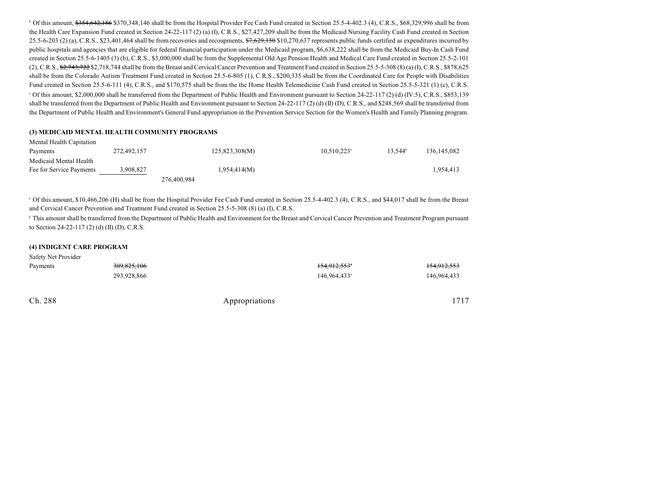$^{\circ}$  Of this amount,  $$354,642,186$  \$370,348,146 shall be from the Hospital Provider Fee Cash Fund created in Section 25.5-4-402.3 (4), C.R.S., \$68,329,996 shall be from the Health Care Expansion Fund created in Section 24-22-117 (2) (a) (I), C.R.S., \$27,427,209 shall be from the Medicaid Nursing Facility Cash Fund created in Section 25.5-6-203 (2) (a), C.R.S., \$23,401,464 shall be from recoveries and recoupments,  $\frac{27,629,150}{10,270,637}$  represents public funds certified as expenditures incurred by public hospitals and agencies that are eligible for federal financial participation under the Medicaid program, \$6,638,222 shall be from the Medicaid Buy-In Cash Fund created in Section 25.5-6-1405 (3) (b), C.R.S., \$3,000,000 shall be from the Supplemental Old Age Pension Health and Medical Care Fund created in Section 25.5-2-101 (2), C.R.S.,  $\frac{62.743.722}{2}$  \$2,718,744 shall be from the Breast and Cervical Cancer Prevention and Treatment Fund created in Section 25.5-5-308 (8) (a) (I), C.R.S., \$878,625 shall be from the Colorado Autism Treatment Fund created in Section 25.5-6-805 (1), C.R.S., \$200,335 shall be from the Coordinated Care for People with Disabilities Fund created in Section 25.5-6-111 (4), C.R.S., and \$170,575 shall be from the the Home Health Telemedicine Cash Fund created in Section 25.5-5-321 (1) (c), C.R.S.

Of this amount, \$2,000,000 shall be transferred from the Department of Public Health and Environment pursuant to Section 24-22-117 (2) (d) (IV.5), C.R.S., \$853,139 <sup>c</sup> shall be transferred from the Department of Public Health and Environment pursuant to Section 24-22-117 (2) (d) (II) (D), C.R.S., and \$248,569 shall be transferred from the Department of Public Health and Environment's General Fund appropriation in the Prevention Service Section for the Women's Health and Family Planning program.

#### **(3) MEDICAID MENTAL HEALTH COMMUNITY PROGRAMS**

| Mental Health Capitation |             |             |                |                           |                     |               |
|--------------------------|-------------|-------------|----------------|---------------------------|---------------------|---------------|
| Payments                 | 272,492,157 |             | 125,823,308(M) | $10,510,223$ <sup>a</sup> | 13.544 <sup>b</sup> | 136, 145, 082 |
| Medicaid Mental Health   |             |             |                |                           |                     |               |
| Fee for Service Payments | 3,908,827   |             | 1,954,414(M)   |                           |                     | 1,954,413     |
|                          |             | 276,400,984 |                |                           |                     |               |

<sup>a</sup> Of this amount, \$10,466,206 (H) shall be from the Hospital Provider Fee Cash Fund created in Section 25.5-4-402.3 (4), C.R.S., and \$44,017 shall be from the Breast and Cervical Cancer Prevention and Treatment Fund created in Section 25.5-5-308 (8) (a) (I), C.R.S.

<sup>b</sup> This amount shall be transferred from the Department of Public Health and Environment for the Breast and Cervical Cancer Prevention and Treatment Program pursuant to Section 24-22-117 (2) (d) (II) (D), C.R.S.

#### **(4) INDIGENT CARE PROGRAM**

Safety Net Provider

| Safety Net Provider |                        |                          |                        |
|---------------------|------------------------|--------------------------|------------------------|
| Payments            | <del>309,825,106</del> | <del>154,912,553</del> * | <del>154,912,553</del> |
|                     | 293,928,866            | 146.964.433 <sup>a</sup> | 146,964,433            |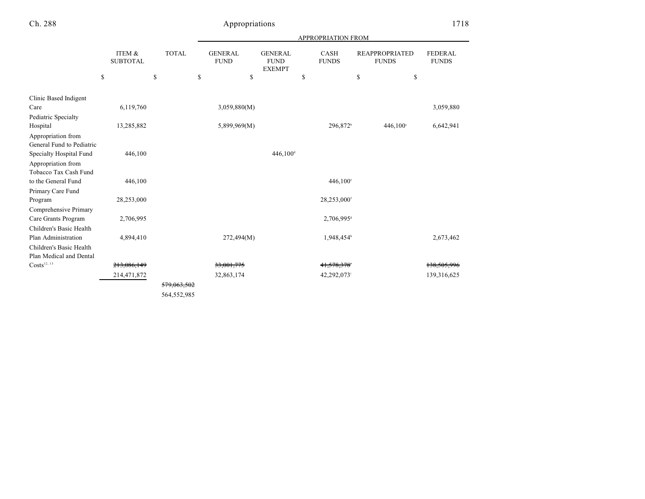|                           |                           |              |                                |                                                | <b>APPROPRIATION FROM</b>   |                         |                                       |                                |
|---------------------------|---------------------------|--------------|--------------------------------|------------------------------------------------|-----------------------------|-------------------------|---------------------------------------|--------------------------------|
|                           | ITEM &<br><b>SUBTOTAL</b> | <b>TOTAL</b> | <b>GENERAL</b><br>${\rm FUND}$ | <b>GENERAL</b><br><b>FUND</b><br><b>EXEMPT</b> | <b>CASH</b><br><b>FUNDS</b> |                         | <b>REAPPROPRIATED</b><br><b>FUNDS</b> | <b>FEDERAL</b><br><b>FUNDS</b> |
|                           | \$                        | \$           | \$<br>\$                       |                                                | \$                          | \$                      | \$                                    |                                |
| Clinic Based Indigent     |                           |              |                                |                                                |                             |                         |                                       |                                |
| Care                      | 6,119,760                 |              | 3,059,880(M)                   |                                                |                             |                         |                                       | 3,059,880                      |
| Pediatric Specialty       |                           |              |                                |                                                |                             |                         |                                       |                                |
| Hospital                  | 13,285,882                |              | 5,899,969(M)                   |                                                |                             | 296,872 <sup>b</sup>    | $446,100^{\circ}$                     | 6,642,941                      |
| Appropriation from        |                           |              |                                |                                                |                             |                         |                                       |                                |
| General Fund to Pediatric |                           |              |                                |                                                |                             |                         |                                       |                                |
| Specialty Hospital Fund   | 446,100                   |              |                                | $446,100^4$                                    |                             |                         |                                       |                                |
| Appropriation from        |                           |              |                                |                                                |                             |                         |                                       |                                |
| Tobacco Tax Cash Fund     |                           |              |                                |                                                |                             |                         |                                       |                                |
| to the General Fund       | 446,100                   |              |                                |                                                |                             | 446,100°                |                                       |                                |
| Primary Care Fund         |                           |              |                                |                                                |                             |                         |                                       |                                |
| Program                   | 28,253,000                |              |                                |                                                |                             | 28,253,000 <sup>f</sup> |                                       |                                |
| Comprehensive Primary     |                           |              |                                |                                                |                             |                         |                                       |                                |
| Care Grants Program       | 2,706,995                 |              |                                |                                                |                             | 2,706,995 <sup>s</sup>  |                                       |                                |
| Children's Basic Health   |                           |              |                                |                                                |                             |                         |                                       |                                |
| Plan Administration       | 4,894,410                 |              | 272,494(M)                     |                                                |                             | 1,948,454h              |                                       | 2,673,462                      |
| Children's Basic Health   |                           |              |                                |                                                |                             |                         |                                       |                                |
| Plan Medical and Dental   |                           |              |                                |                                                |                             |                         |                                       |                                |
| Costs <sup>12, 13</sup>   | 213,086,149               |              | 33,001,775                     |                                                |                             | 41,578,378              |                                       | 138,505,996                    |
|                           | 214,471,872               |              | 32,863,174                     |                                                |                             | 42,292,073              |                                       | 139,316,625                    |
|                           |                           | 579,063,502  |                                |                                                |                             |                         |                                       |                                |
|                           |                           | 564,552,985  |                                |                                                |                             |                         |                                       |                                |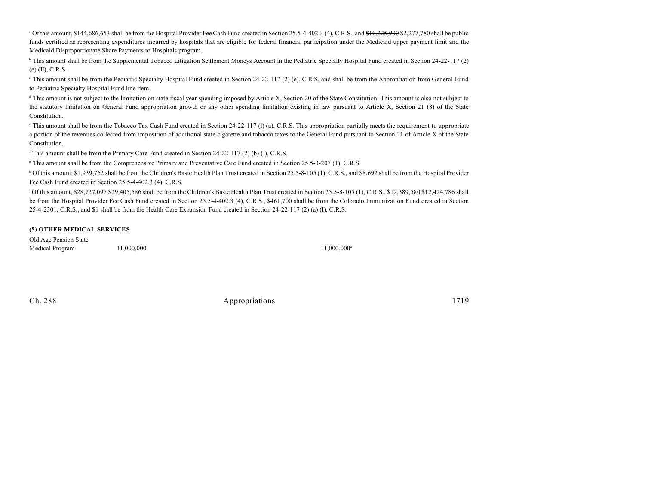<sup>a</sup> Of this amount, \$144,686,653 shall be from the Hospital Provider Fee Cash Fund created in Section 25.5-4-402.3 (4), C.R.S., and \$10,225,900 \$2,277,780 shall be public funds certified as representing expenditures incurred by hospitals that are eligible for federal financial participation under the Medicaid upper payment limit and the Medicaid Disproportionate Share Payments to Hospitals program.

<sup>b</sup> This amount shall be from the Supplemental Tobacco Litigation Settlement Moneys Account in the Pediatric Specialty Hospital Fund created in Section 24-22-117 (2) (e) (II), C.R.S.

This amount shall be from the Pediatric Specialty Hospital Fund created in Section 24-22-117 (2) (e), C.R.S. and shall be from the Appropriation from General Fund to Pediatric Specialty Hospital Fund line item.

<sup>d</sup> This amount is not subject to the limitation on state fiscal year spending imposed by Article X, Section 20 of the State Constitution. This amount is also not subject to the statutory limitation on General Fund appropriation growth or any other spending limitation existing in law pursuant to Article X, Section 21 (8) of the State Constitution.

This amount shall be from the Tobacco Tax Cash Fund created in Section 24-22-117 (1) (a), C.R.S. This appropriation partially meets the requirement to appropriate a portion of the revenues collected from imposition of additional state cigarette and tobacco taxes to the General Fund pursuant to Section 21 of Article X of the State Constitution.

 $f$  This amount shall be from the Primary Care Fund created in Section 24-22-117 (2) (b) (I), C.R.S.

<sup>8</sup> This amount shall be from the Comprehensive Primary and Preventative Care Fund created in Section 25.5-3-207 (1), C.R.S.

<sup>h</sup> Of this amount, \$1,939,762 shall be from the Children's Basic Health Plan Trust created in Section 25.5-8-105 (1), C.R.S., and \$8,692 shall be from the Hospital Provider Fee Cash Fund created in Section 25.5-4-402.3 (4), C.R.S.

 $\frac{1}{2}$  Of this amount,  $\frac{28}{28,727,097}$  \$29,405,586 shall be from the Children's Basic Health Plan Trust created in Section 25.5-8-105 (1), C.R.S.,  $\frac{12,389,580}{12,424,786}$  shall be from the Hospital Provider Fee Cash Fund created in Section 25.5-4-402.3 (4), C.R.S., \$461,700 shall be from the Colorado Immunization Fund created in Section 25-4-2301, C.R.S., and \$1 shall be from the Health Care Expansion Fund created in Section 24-22-117 (2) (a) (I), C.R.S.

#### **(5) OTHER MEDICAL SERVICES**

Old Age Pension State Medical Program 11,000,000 11,000,000<sup>a</sup>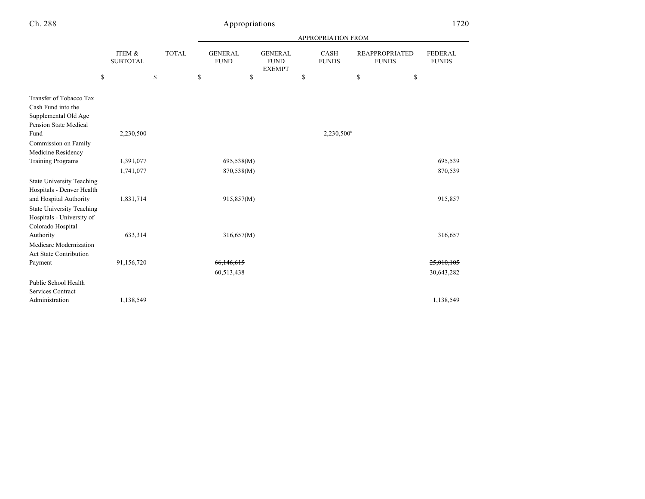|--|--|

|                                                                                                |                           |              | APPROPRIATION FROM |                                                |                             |                                       |                                |  |  |
|------------------------------------------------------------------------------------------------|---------------------------|--------------|--------------------|------------------------------------------------|-----------------------------|---------------------------------------|--------------------------------|--|--|
|                                                                                                | ITEM &<br><b>SUBTOTAL</b> | <b>TOTAL</b> |                    | <b>GENERAL</b><br><b>FUND</b><br><b>EXEMPT</b> | <b>CASH</b><br><b>FUNDS</b> | <b>REAPPROPRIATED</b><br><b>FUNDS</b> | <b>FEDERAL</b><br><b>FUNDS</b> |  |  |
|                                                                                                | \$                        | \$           | \$                 | \$                                             | \$                          | \$<br>\$                              |                                |  |  |
| Transfer of Tobacco Tax<br>Cash Fund into the<br>Supplemental Old Age<br>Pension State Medical |                           |              |                    |                                                |                             |                                       |                                |  |  |
| Fund                                                                                           | 2,230,500                 |              |                    |                                                | $2,230,500^{\circ}$         |                                       |                                |  |  |
| Commission on Family<br>Medicine Residency                                                     |                           |              |                    |                                                |                             |                                       |                                |  |  |
| <b>Training Programs</b>                                                                       | 1,391,077                 |              | 695,538(M)         |                                                |                             |                                       | 695.539                        |  |  |
|                                                                                                | 1,741,077                 |              | 870,538(M)         |                                                |                             |                                       | 870,539                        |  |  |
| <b>State University Teaching</b><br>Hospitals - Denver Health                                  |                           |              |                    |                                                |                             |                                       |                                |  |  |
| and Hospital Authority                                                                         | 1,831,714                 |              | 915,857(M)         |                                                |                             |                                       | 915,857                        |  |  |
| <b>State University Teaching</b><br>Hospitals - University of<br>Colorado Hospital             |                           |              |                    |                                                |                             |                                       |                                |  |  |
| Authority                                                                                      | 633,314                   |              | 316,657(M)         |                                                |                             |                                       | 316,657                        |  |  |
| Medicare Modernization<br><b>Act State Contribution</b>                                        |                           |              |                    |                                                |                             |                                       |                                |  |  |
| Payment                                                                                        | 91,156,720                |              | 66,146,615         |                                                |                             |                                       | 25,010,105                     |  |  |
|                                                                                                |                           |              | 60,513,438         |                                                |                             |                                       | 30,643,282                     |  |  |
| Public School Health                                                                           |                           |              |                    |                                                |                             |                                       |                                |  |  |
| <b>Services Contract</b>                                                                       |                           |              |                    |                                                |                             |                                       |                                |  |  |
| Administration                                                                                 | 1,138,549                 |              |                    |                                                |                             |                                       | 1,138,549                      |  |  |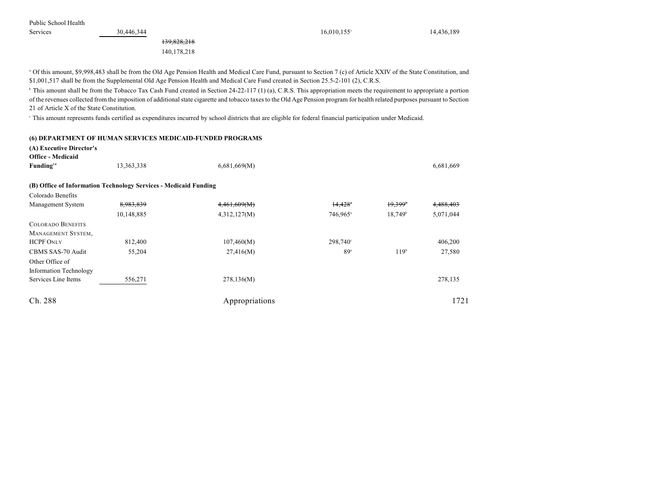Public School Health

139,828,218 140,178,218

Services 30,446,344 30,446,344 5 and  $30,446,344$  16,010,155 $\degree$  14,436,189

<sup>a</sup> Of this amount, \$9,998,483 shall be from the Old Age Pension Health and Medical Care Fund, pursuant to Section 7 (c) of Article XXIV of the State Constitution, and \$1,001,517 shall be from the Supplemental Old Age Pension Health and Medical Care Fund created in Section 25.5-2-101 (2), C.R.S.

<sup>b</sup> This amount shall be from the Tobacco Tax Cash Fund created in Section 24-22-117 (1) (a), C.R.S. This appropriation meets the requirement to appropriate a portion of the revenues collected from the imposition of additional state cigarette and tobacco taxes to the Old Age Pension program for health related purposes pursuant to Section 21 of Article X of the State Constitution.

This amount represents funds certified as expenditures incurred by school districts that are eligible for federal financial participation under Medicaid.

#### **(6) DEPARTMENT OF HUMAN SERVICES MEDICAID-FUNDED PROGRAMS**

**(A) Executive Director's**

| <b>Office - Medicaid</b>      |                                                                  |                |                      |                       |           |
|-------------------------------|------------------------------------------------------------------|----------------|----------------------|-----------------------|-----------|
| Funding <sup>14</sup>         | 13,363,338                                                       | 6,681,669(M)   |                      |                       | 6,681,669 |
|                               |                                                                  |                |                      |                       |           |
|                               | (B) Office of Information Technology Services - Medicaid Funding |                |                      |                       |           |
| Colorado Benefits             |                                                                  |                |                      |                       |           |
| Management System             | 8,983,839                                                        | 4,461,609(M)   | $14,428$ *           | $19,399$ <sup>*</sup> | 4,488,403 |
|                               | 10,148,885                                                       | 4,312,127(M)   | 746,965 <sup>a</sup> | $18,749^{\circ}$      | 5,071,044 |
| <b>COLORADO BENEFITS</b>      |                                                                  |                |                      |                       |           |
| MANAGEMENT SYSTEM,            |                                                                  |                |                      |                       |           |
| <b>HCPF ONLY</b>              | 812,400                                                          | 107,460(M)     | $298,740^{\circ}$    |                       | 406,200   |
| CBMS SAS-70 Audit             | 55,204                                                           | 27,416(M)      | 89 <sup>a</sup>      | 119 <sup>b</sup>      | 27,580    |
| Other Office of               |                                                                  |                |                      |                       |           |
| <b>Information Technology</b> |                                                                  |                |                      |                       |           |
| Services Line Items           | 556,271                                                          | 278,136(M)     |                      |                       | 278,135   |
|                               |                                                                  |                |                      |                       |           |
| Ch. 288                       |                                                                  | Appropriations |                      |                       | 1721      |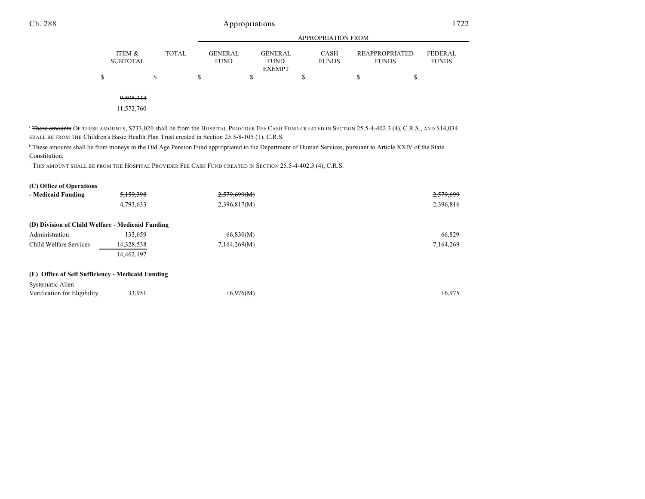|   |                           |              |                               |                                                | <b>APPROPRIATION FROM</b>   |                                       |                         |
|---|---------------------------|--------------|-------------------------------|------------------------------------------------|-----------------------------|---------------------------------------|-------------------------|
|   | ITEM &<br><b>SUBTOTAL</b> | <b>TOTAL</b> | <b>GENERAL</b><br><b>FUND</b> | <b>GENERAL</b><br><b>FUND</b><br><b>EXEMPT</b> | <b>CASH</b><br><b>FUNDS</b> | <b>REAPPROPRIATED</b><br><b>FUNDS</b> | FEDERAL<br><b>FUNDS</b> |
| D |                           | \$           | S                             | \$                                             | D                           | \$<br>\$                              |                         |
|   |                           |              |                               |                                                |                             |                                       |                         |
|   | 9,595,314                 |              |                               |                                                |                             |                                       |                         |
|   | 11,572,760                |              |                               |                                                |                             |                                       |                         |

<sup>a</sup> <del>These amounts</del> Of these amounts, \$733,020 shall be from the Hospital Provider Fee Cash Fund created in Section 25.5-4-402.3 (4), C.R.S., and \$14,034 SHALL BE FROM THE Children's Basic Health Plan Trust created in Section 25.5-8-105 (1), C.R.S.

<sup>h</sup> These amounts shall be from moneys in the Old Age Pension Fund appropriated to the Department of Human Services, pursuant to Article XXIV of the State Constitution.

THIS AMOUNT SHALL BE FROM THE HOSPITAL PROVIDER FEE CASH FUND CREATED IN SECTION 25.5-4-402.3 (4), C.R.S. <sup>c</sup>

| 5,159,398  | 2,579,699(M)                                                                                          | 2,579,699 |
|------------|-------------------------------------------------------------------------------------------------------|-----------|
| 4,793,633  | 2,396,817(M)                                                                                          | 2,396,816 |
|            |                                                                                                       |           |
| 133,659    | 66,830(M)                                                                                             | 66,829    |
| 14,328,538 | 7,164,269(M)                                                                                          | 7,164,269 |
| 14.462.197 |                                                                                                       |           |
|            |                                                                                                       |           |
|            |                                                                                                       |           |
| 33,951     | 16,976(M)                                                                                             | 16.975    |
|            | (D) Division of Child Welfare - Medicaid Funding<br>(E) Office of Self Sufficiency - Medicaid Funding |           |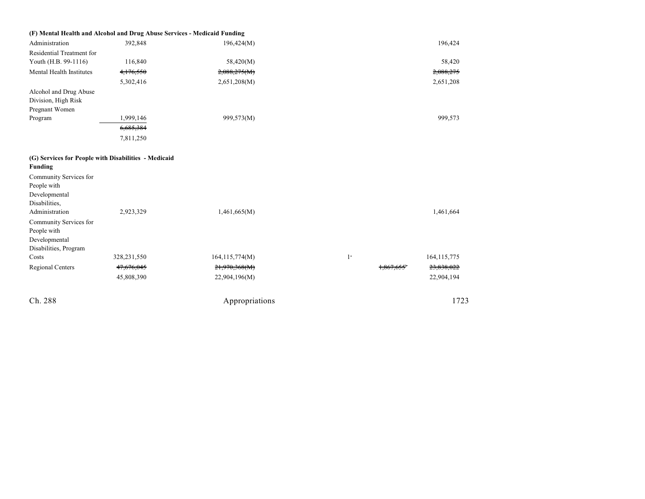| (F) Mental Health and Alcohol and Drug Abuse Services - Medicaid Funding                                                                                                                                                                               |               |                  |                  |                                    |
|--------------------------------------------------------------------------------------------------------------------------------------------------------------------------------------------------------------------------------------------------------|---------------|------------------|------------------|------------------------------------|
| Administration                                                                                                                                                                                                                                         | 392,848       | 196,424(M)       |                  | 196,424                            |
| Residential Treatment for                                                                                                                                                                                                                              |               |                  |                  |                                    |
| Youth (H.B. 99-1116)                                                                                                                                                                                                                                   | 116,840       | 58,420(M)        |                  | 58,420                             |
| Mental Health Institutes                                                                                                                                                                                                                               | 4,176,550     | 2,088,275(M)     |                  | 2,088,275                          |
|                                                                                                                                                                                                                                                        | 5,302,416     | 2,651,208(M)     |                  | 2,651,208                          |
| Alcohol and Drug Abuse<br>Division, High Risk<br>Pregnant Women                                                                                                                                                                                        |               |                  |                  |                                    |
| Program                                                                                                                                                                                                                                                | 1,999,146     | 999,573(M)       |                  | 999,573                            |
|                                                                                                                                                                                                                                                        | 6,685,384     |                  |                  |                                    |
|                                                                                                                                                                                                                                                        | 7,811,250     |                  |                  |                                    |
| (G) Services for People with Disabilities - Medicaid<br><b>Funding</b><br>Community Services for<br>People with<br>Developmental<br>Disabilities,<br>Administration<br>Community Services for<br>People with<br>Developmental<br>Disabilities, Program | 2,923,329     | 1,461,665(M)     |                  | 1,461,664                          |
| Costs                                                                                                                                                                                                                                                  | 328, 231, 550 | 164, 115, 774(M) | $1^{\mathrm{a}}$ | 164, 115, 775                      |
| <b>Regional Centers</b>                                                                                                                                                                                                                                | 47,676,045    | 21,970,368(M)    |                  | 23,838,022<br><del>1,867,655</del> |
|                                                                                                                                                                                                                                                        | 45,808,390    | 22,904,196(M)    |                  | 22,904,194                         |
| Ch. 288                                                                                                                                                                                                                                                |               | Appropriations   |                  | 1723                               |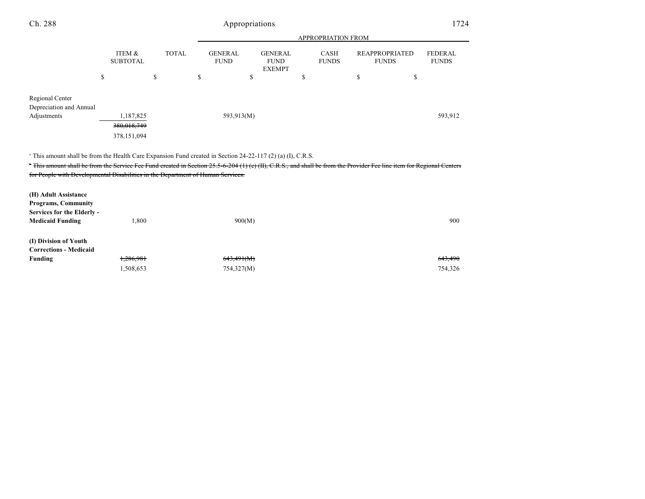|   |                           |       |                        |                                                | APPROPRIATION FROM          |                                       |                         |
|---|---------------------------|-------|------------------------|------------------------------------------------|-----------------------------|---------------------------------------|-------------------------|
|   | ITEM &<br><b>SUBTOTAL</b> | TOTAL | GENERAL<br><b>FUND</b> | <b>GENERAL</b><br><b>FUND</b><br><b>EXEMPT</b> | <b>CASH</b><br><b>FUNDS</b> | <b>REAPPROPRIATED</b><br><b>FUNDS</b> | FEDERAL<br><b>FUNDS</b> |
| Φ |                           |       |                        |                                                |                             |                                       |                         |

Regional Center Depreciation and Annual Adjustments 1,187,825 593,913(M) 599,913 593,913 593,913 593,912

380,018,749

378,151,094

<sup>a</sup> This amount shall be from the Health Care Expansion Fund created in Section 24-22-117 (2) (a) (I), C.R.S.

<sup>t</sup> This amount shall be from the Service Fee Fund created in Section 25.5-6-204 (1) (e) (II), C.R.S., and shall be from the Provider Fee line item for Regional Centers for People with Developmental Disabilities in the Department of Human Services.

| (H) Adult Assistance<br><b>Programs, Community</b><br>Services for the Elderly -<br><b>Medicaid Funding</b> | 1,800                  | 900(M)                   | 900                           |
|-------------------------------------------------------------------------------------------------------------|------------------------|--------------------------|-------------------------------|
| (I) Division of Youth<br><b>Corrections - Medicaid</b><br>Funding                                           | 1,286,981<br>1,508,653 | 643,491(M)<br>754,327(M) | <del>643,490</del><br>754,326 |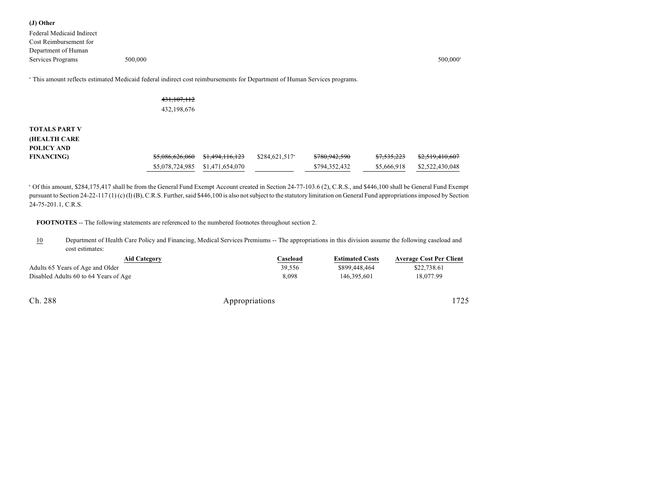**(J) Other** Federal Medicaid Indirect Cost Reimbursement for Department of Human Services Programs 500,000

 $500,000^{\circ}$ 

This amount reflects estimated Medicaid federal indirect cost reimbursements for Department of Human Services programs. <sup>a</sup>

### 431,107,112

432,198,676

# **TOTALS PART V (HEALTH CARE POLICY AND**

| POLICY AND        |                                                       |                            |                          |                        |                            |
|-------------------|-------------------------------------------------------|----------------------------|--------------------------|------------------------|----------------------------|
| <b>FINANCING)</b> | <del>\$5,086,626,060</del> <del>\$1,494,116,123</del> | \$284,621,517 <sup>a</sup> | <del>\$780,942,590</del> | <del>\$7,535,223</del> | <del>\$2,519,410,607</del> |
|                   | \$5,078,724,985 \$1,471,654,070                       |                            | \$794,352,432            | \$5,666,918            | \$2,522,430,048            |

<sup>a</sup> Of this amount, \$284,175,417 shall be from the General Fund Exempt Account created in Section 24-77-103.6 (2), C.R.S., and \$446,100 shall be General Fund Exempt pursuant to Section 24-22-117 (1) (c) (I) (B), C.R.S. Further, said \$446,100 is also not subject to the statutory limitation on General Fund appropriations imposed by Section 24-75-201.1, C.R.S.

**FOOTNOTES** -- The following statements are referenced to the numbered footnotes throughout section 2.

10 Department of Health Care Policy and Financing, Medical Services Premiums -- The appropriations in this division assume the following caseload and cost estimates:

| Aid Category                          | <b>Caseload</b> | <b>Estimated Costs</b> | <b>Average Cost Per Client</b> |
|---------------------------------------|-----------------|------------------------|--------------------------------|
| Adults 65 Years of Age and Older      | 39.556          | \$899,448,464          | \$22,738.61                    |
| Disabled Adults 60 to 64 Years of Age | 8.098           | 146,395,601            | 18,077.99                      |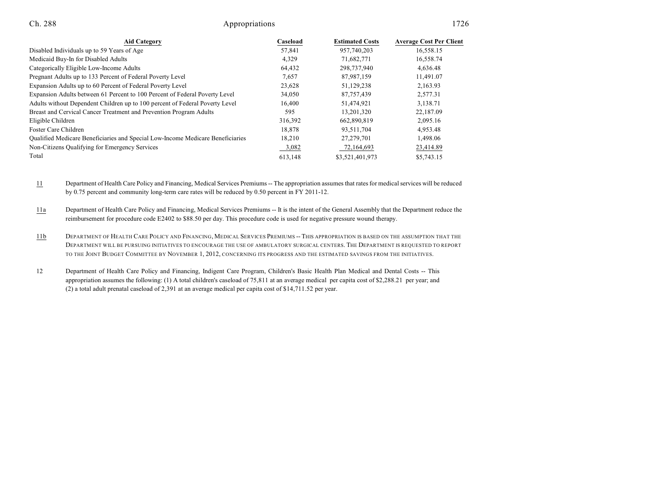| <b>Aid Category</b>                                                            | Caseload | <b>Estimated Costs</b> | <b>Average Cost Per Client</b> |
|--------------------------------------------------------------------------------|----------|------------------------|--------------------------------|
| Disabled Individuals up to 59 Years of Age                                     | 57.841   | 957,740,203            | 16,558.15                      |
| Medicaid Buy-In for Disabled Adults                                            | 4,329    | 71,682,771             | 16,558.74                      |
| Categorically Eligible Low-Income Adults                                       | 64.432   | 298,737,940            | 4.636.48                       |
| Pregnant Adults up to 133 Percent of Federal Poverty Level                     | 7,657    | 87.987.159             | 11,491.07                      |
| Expansion Adults up to 60 Percent of Federal Poverty Level                     | 23,628   | 51,129,238             | 2,163.93                       |
| Expansion Adults between 61 Percent to 100 Percent of Federal Poverty Level    | 34,050   | 87, 757, 439           | 2,577.31                       |
| Adults without Dependent Children up to 100 percent of Federal Poverty Level   | 16,400   | 51,474,921             | 3,138.71                       |
| Breast and Cervical Cancer Treatment and Prevention Program Adults             | 595      | 13,201,320             | 22,187.09                      |
| Eligible Children                                                              | 316,392  | 662,890,819            | 2,095.16                       |
| Foster Care Children                                                           | 18.878   | 93,511,704             | 4,953.48                       |
| Qualified Medicare Beneficiaries and Special Low-Income Medicare Beneficiaries | 18,210   | 27, 279, 701           | 1,498.06                       |
| Non-Citizens Qualifying for Emergency Services                                 | 3,082    | 72,164,693             | 23,414.89                      |
| Total                                                                          | 613,148  | \$3,521,401,973        | \$5,743.15                     |

11 Department of Health Care Policy and Financing, Medical Services Premiums -- The appropriation assumes that rates for medical services will be reduced by 0.75 percent and community long-term care rates will be reduced by 0.50 percent in FY 2011-12.

11a Department of Health Care Policy and Financing, Medical Services Premiums -- It is the intent of the General Assembly that the Department reduce the reimbursement for procedure code E2402 to \$88.50 per day. This procedure code is used for negative pressure wound therapy.

11b DEPARTMENT OF HEALTH CARE POLICY AND FINANCING, MEDICAL SERVICES PREMIUMS -- THIS APPROPRIATION IS BASED ON THE ASSUMPTION THAT THE DEPARTMENT WILL BE PURSUING INITIATIVES TO ENCOURAGE THE USE OF AMBULATORY SURGICAL CENTERS. THE DEPARTMENT IS REQUESTED TO REPORT TO THE JOINT BUDGET COMMITTEE BY NOVEMBER 1, 2012, CONCERNING ITS PROGRESS AND THE ESTIMATED SAVINGS FROM THE INITIATIVES.

12 Department of Health Care Policy and Financing, Indigent Care Program, Children's Basic Health Plan Medical and Dental Costs -- This appropriation assumes the following: (1) A total children's caseload of 75,811 at an average medical per capita cost of \$2,288.21 per year; and (2) a total adult prenatal caseload of 2,391 at an average medical per capita cost of \$14,711.52 per year.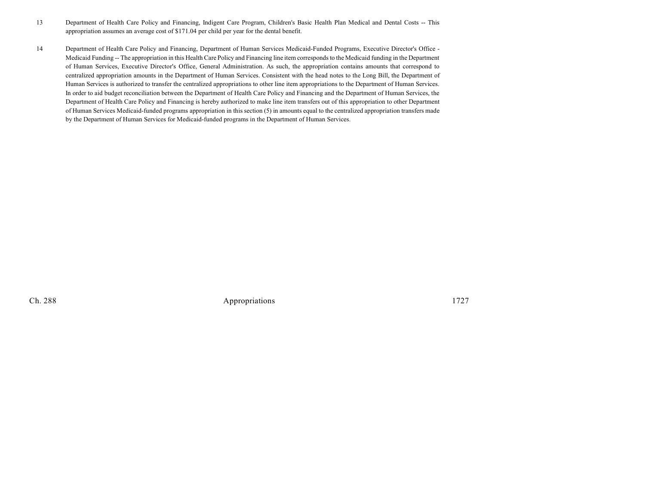- 13 Department of Health Care Policy and Financing, Indigent Care Program, Children's Basic Health Plan Medical and Dental Costs -- This appropriation assumes an average cost of \$171.04 per child per year for the dental benefit.
- 14 Department of Health Care Policy and Financing, Department of Human Services Medicaid-Funded Programs, Executive Director's Office Medicaid Funding -- The appropriation in this Health Care Policy and Financing line item corresponds to the Medicaid funding in the Department of Human Services, Executive Director's Office, General Administration. As such, the appropriation contains amounts that correspond to centralized appropriation amounts in the Department of Human Services. Consistent with the head notes to the Long Bill, the Department of Human Services is authorized to transfer the centralized appropriations to other line item appropriations to the Department of Human Services. In order to aid budget reconciliation between the Department of Health Care Policy and Financing and the Department of Human Services, the Department of Health Care Policy and Financing is hereby authorized to make line item transfers out of this appropriation to other Department of Human Services Medicaid-funded programs appropriation in this section (5) in amounts equal to the centralized appropriation transfers made by the Department of Human Services for Medicaid-funded programs in the Department of Human Services.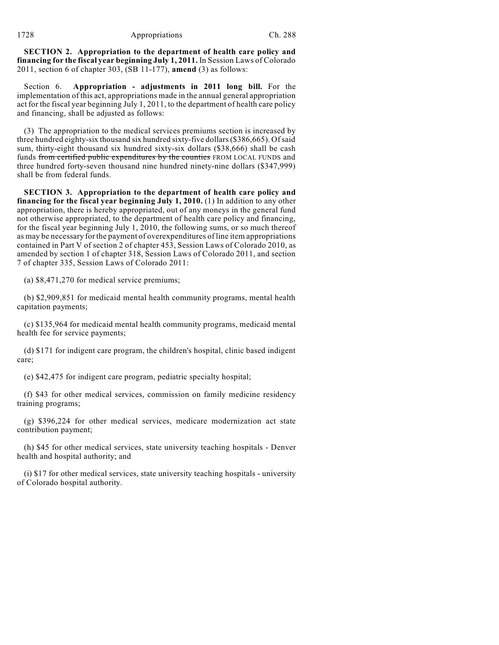**SECTION 2. Appropriation to the department of health care policy and financing for the fiscal year beginning July 1, 2011.** In Session Laws of Colorado 2011, section 6 of chapter 303, (SB 11-177), **amend** (3) as follows:

Section 6. **Appropriation - adjustments in 2011 long bill.** For the implementation of this act, appropriations made in the annual general appropriation act for the fiscal year beginning July 1, 2011, to the department of health care policy and financing, shall be adjusted as follows:

(3) The appropriation to the medical services premiums section is increased by three hundred eighty-six thousand six hundred sixty-five dollars(\$386,665). Ofsaid sum, thirty-eight thousand six hundred sixty-six dollars (\$38,666) shall be cash funds from certified public expenditures by the counties FROM LOCAL FUNDS and three hundred forty-seven thousand nine hundred ninety-nine dollars (\$347,999) shall be from federal funds.

**SECTION 3. Appropriation to the department of health care policy and financing for the fiscal year beginning July 1, 2010.** (1) In addition to any other appropriation, there is hereby appropriated, out of any moneys in the general fund not otherwise appropriated, to the department of health care policy and financing, for the fiscal year beginning July 1, 2010, the following sums, or so much thereof as may be necessary for the payment of overexpenditures of line item appropriations contained in Part V of section 2 of chapter 453, Session Laws of Colorado 2010, as amended by section 1 of chapter 318, Session Laws of Colorado 2011, and section 7 of chapter 335, Session Laws of Colorado 2011:

(a) \$8,471,270 for medical service premiums;

(b) \$2,909,851 for medicaid mental health community programs, mental health capitation payments;

(c) \$135,964 for medicaid mental health community programs, medicaid mental health fee for service payments;

(d) \$171 for indigent care program, the children's hospital, clinic based indigent care;

(e) \$42,475 for indigent care program, pediatric specialty hospital;

(f) \$43 for other medical services, commission on family medicine residency training programs;

(g) \$396,224 for other medical services, medicare modernization act state contribution payment;

(h) \$45 for other medical services, state university teaching hospitals - Denver health and hospital authority; and

(i) \$17 for other medical services, state university teaching hospitals - university of Colorado hospital authority.